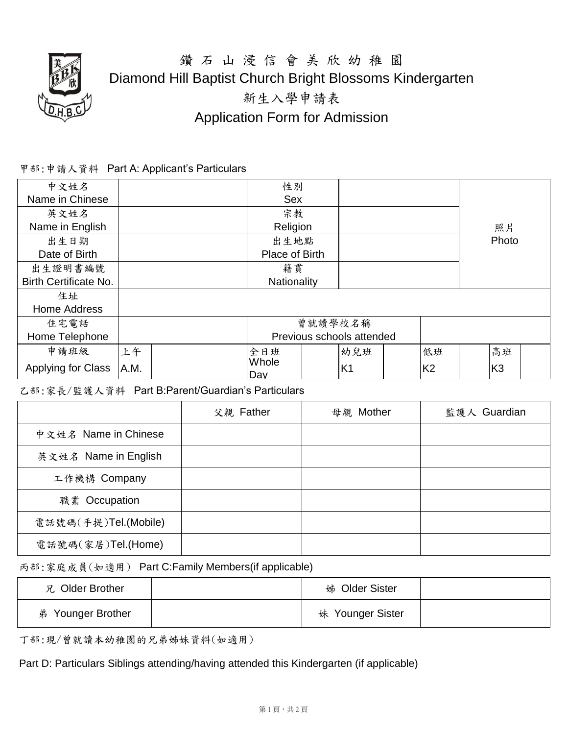

## 鑽 石 山 浸 信 會 美 欣 幼 稚 園 Diamond Hill Baptist Church Bright Blossoms Kindergarten 新生入學申請表 Application Form for Admission

## 甲部:申請人資料 Part A: Applicant's Particulars

| 中文姓名                         |             |            | 性別                        |    |                |       |                |  |                |  |
|------------------------------|-------------|------------|---------------------------|----|----------------|-------|----------------|--|----------------|--|
| Name in Chinese              |             | <b>Sex</b> |                           |    |                |       |                |  |                |  |
| 英文姓名                         |             |            | 宗教                        |    |                |       |                |  |                |  |
| Name in English              |             | Religion   |                           | 照片 |                |       |                |  |                |  |
| 出生日期                         |             | 出生地點       |                           |    |                | Photo |                |  |                |  |
| Date of Birth                |             |            | Place of Birth            |    |                |       |                |  |                |  |
| 出生證明書編號                      |             |            | 籍貫                        |    |                |       |                |  |                |  |
| <b>Birth Certificate No.</b> | Nationality |            |                           |    |                |       |                |  |                |  |
| 住址                           |             |            |                           |    |                |       |                |  |                |  |
| <b>Home Address</b>          |             |            |                           |    |                |       |                |  |                |  |
| 住宅電話                         |             |            | 曾就讀學校名稱                   |    |                |       |                |  |                |  |
| Home Telephone               |             |            | Previous schools attended |    |                |       |                |  |                |  |
| 申請班級                         | 上午          |            | 全日班                       |    | 幼兒班            |       | 低班             |  | 高班             |  |
| Applying for Class           | A.M.        |            | Whole<br>Day              |    | K <sub>1</sub> |       | K <sub>2</sub> |  | K <sub>3</sub> |  |

乙部:家長/監護人資料 Part B:Parent/Guardian's Particulars

|                      | 父親 Father | 母親 Mother | 監護人 Guardian |
|----------------------|-----------|-----------|--------------|
| 中文姓名 Name in Chinese |           |           |              |
| 英文姓名 Name in English |           |           |              |
| 工作機構 Company         |           |           |              |
| 職業 Occupation        |           |           |              |
| 電話號碼(手提)Tel.(Mobile) |           |           |              |
| 電話號碼(家居)Tel.(Home)   |           |           |              |

丙部:家庭成員(如適用) Part C:Family Members(if applicable)

| 兄 Older Brother   | 姊 Older Sister   |  |
|-------------------|------------------|--|
| 弟 Younger Brother | 妹 Younger Sister |  |

丁部:現/曾就讀本幼稚園的兄弟姊妹資料(如適用)

Part D: Particulars Siblings attending/having attended this Kindergarten (if applicable)